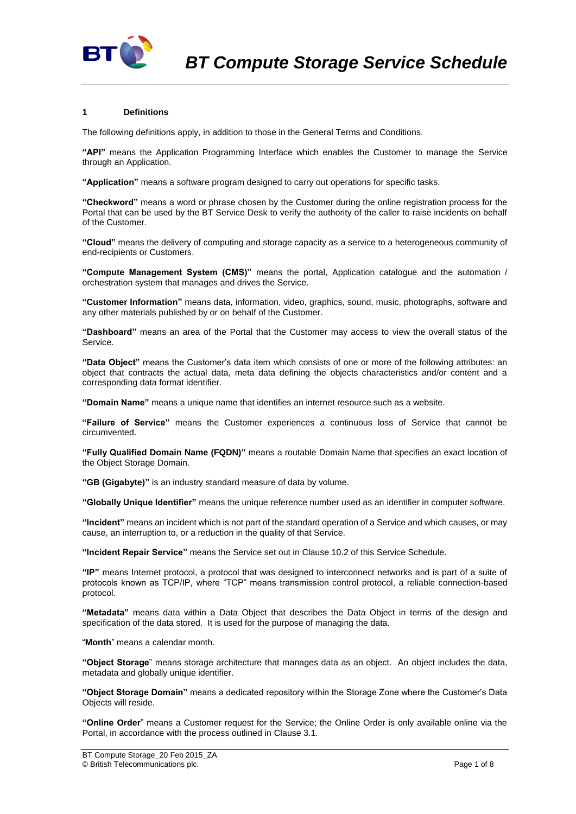

## **1 Definitions**

The following definitions apply, in addition to those in the General Terms and Conditions.

**"API"** means the Application Programming Interface which enables the Customer to manage the Service through an Application.

**"Application"** means a software program designed to carry out operations for specific tasks.

**"Checkword"** means a word or phrase chosen by the Customer during the online registration process for the Portal that can be used by the BT Service Desk to verify the authority of the caller to raise incidents on behalf of the Customer.

**"Cloud"** means the delivery of computing and storage capacity as a service to a heterogeneous community of end-recipients or Customers.

**"Compute Management System (CMS)"** means the portal, Application catalogue and the automation / orchestration system that manages and drives the Service.

**"Customer Information"** means data, information, video, graphics, sound, music, photographs, software and any other materials published by or on behalf of the Customer.

**"Dashboard"** means an area of the Portal that the Customer may access to view the overall status of the Service.

**"Data Object"** means the Customer's data item which consists of one or more of the following attributes: an object that contracts the actual data, meta data defining the objects characteristics and/or content and a corresponding data format identifier.

**"Domain Name"** means a unique name that identifies an internet resource such as a website.

**"Failure of Service"** means the Customer experiences a continuous loss of Service that cannot be circumvented.

**"Fully Qualified Domain Name (FQDN)"** means a routable Domain Name that specifies an exact location of the Object Storage Domain.

**"GB (Gigabyte)"** is an industry standard measure of data by volume.

**"Globally Unique Identifier"** means the unique reference number used as an identifier in computer software.

**"Incident"** means an incident which is not part of the standard operation of a Service and which causes, or may cause, an interruption to, or a reduction in the quality of that Service.

**"Incident Repair Service"** means the Service set out in Clause [10.2](#page-3-0) of this Service Schedule.

**"IP"** means Internet protocol, a protocol that was designed to interconnect networks and is part of a suite of protocols known as TCP/IP, where "TCP" means transmission control protocol, a reliable connection-based protocol.

**"Metadata"** means data within a Data Object that describes the Data Object in terms of the design and specification of the data stored. It is used for the purpose of managing the data.

"**Month**" means a calendar month.

**"Object Storage**" means storage architecture that manages data as an object. An object includes the data, metadata and globally unique identifier.

**"Object Storage Domain"** means a dedicated repository within the Storage Zone where the Customer's Data Objects will reside.

**"Online Order**" means a Customer request for the Service; the Online Order is only available online via the Portal, in accordance with the process outlined in Claus[e 3.1.](#page-1-0)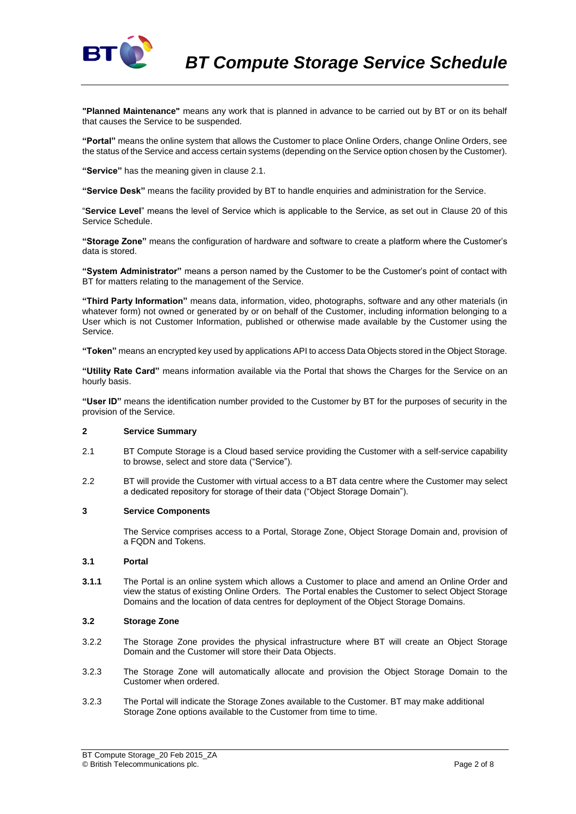

**"Planned Maintenance"** means any work that is planned in advance to be carried out by BT or on its behalf that causes the Service to be suspended.

**"Portal"** means the online system that allows the Customer to place Online Orders, change Online Orders, see the status of the Service and access certain systems (depending on the Service option chosen by the Customer).

**"Service"** has the meaning given in clause 2.1.

**"Service Desk"** means the facility provided by BT to handle enquiries and administration for the Service.

"**Service Level**" means the level of Service which is applicable to the Service, as set out in Clause 20 of this Service Schedule.

**"Storage Zone"** means the configuration of hardware and software to create a platform where the Customer's data is stored.

**"System Administrator"** means a person named by the Customer to be the Customer's point of contact with BT for matters relating to the management of the Service.

**"Third Party Information"** means data, information, video, photographs, software and any other materials (in whatever form) not owned or generated by or on behalf of the Customer, including information belonging to a User which is not Customer Information, published or otherwise made available by the Customer using the Service.

**"Token"** means an encrypted key used by applications API to access Data Objects stored in the Object Storage.

**"Utility Rate Card"** means information available via the Portal that shows the Charges for the Service on an hourly basis.

**"User ID"** means the identification number provided to the Customer by BT for the purposes of security in the provision of the Service.

## **2 Service Summary**

- 2.1 BT Compute Storage is a Cloud based service providing the Customer with a self-service capability to browse, select and store data ("Service").
- 2.2 BT will provide the Customer with virtual access to a BT data centre where the Customer may select a dedicated repository for storage of their data ("Object Storage Domain").

#### **3 Service Components**

The Service comprises access to a Portal, Storage Zone, Object Storage Domain and, provision of a FQDN and Tokens.

### <span id="page-1-0"></span>**3.1 Portal**

**3.1.1** The Portal is an online system which allows a Customer to place and amend an Online Order and view the status of existing Online Orders. The Portal enables the Customer to select Object Storage Domains and the location of data centres for deployment of the Object Storage Domains.

### **3.2 Storage Zone**

- 3.2.2 The Storage Zone provides the physical infrastructure where BT will create an Object Storage Domain and the Customer will store their Data Objects.
- 3.2.3 The Storage Zone will automatically allocate and provision the Object Storage Domain to the Customer when ordered.
- 3.2.3 The Portal will indicate the Storage Zones available to the Customer. BT may make additional Storage Zone options available to the Customer from time to time.

BT Compute Storage\_20 Feb 2015\_ZA © British Telecommunications plc. Page 2 of 8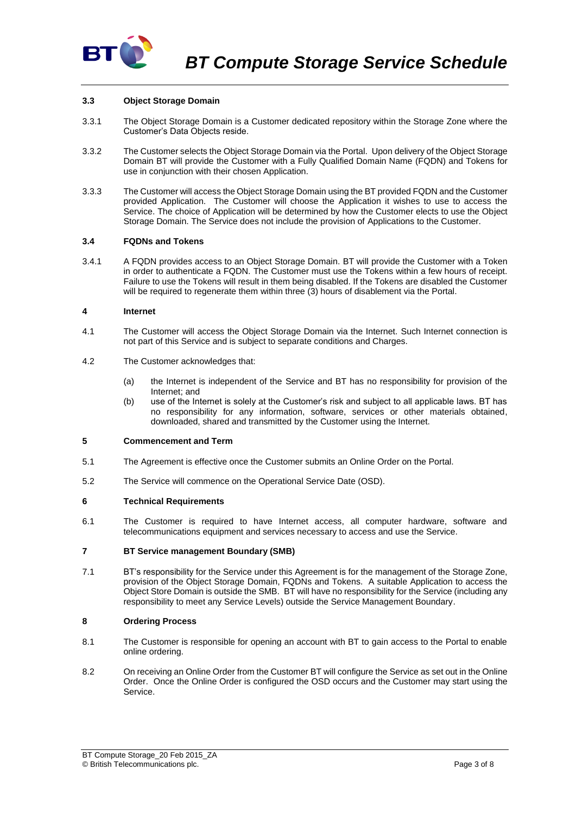

## **3.3 Object Storage Domain**

- 3.3.1 The Object Storage Domain is a Customer dedicated repository within the Storage Zone where the Customer's Data Objects reside.
- 3.3.2 The Customer selects the Object Storage Domain via the Portal. Upon delivery of the Object Storage Domain BT will provide the Customer with a Fully Qualified Domain Name (FQDN) and Tokens for use in conjunction with their chosen Application.
- 3.3.3 The Customer will access the Object Storage Domain using the BT provided FQDN and the Customer provided Application. The Customer will choose the Application it wishes to use to access the Service. The choice of Application will be determined by how the Customer elects to use the Object Storage Domain. The Service does not include the provision of Applications to the Customer.

### **3.4 FQDNs and Tokens**

3.4.1 A FQDN provides access to an Object Storage Domain. BT will provide the Customer with a Token in order to authenticate a FQDN. The Customer must use the Tokens within a few hours of receipt. Failure to use the Tokens will result in them being disabled. If the Tokens are disabled the Customer will be required to regenerate them within three (3) hours of disablement via the Portal.

### **4 Internet**

- 4.1 The Customer will access the Object Storage Domain via the Internet. Such Internet connection is not part of this Service and is subject to separate conditions and Charges.
- 4.2 The Customer acknowledges that:
	- (a) the Internet is independent of the Service and BT has no responsibility for provision of the Internet; and
	- (b) use of the Internet is solely at the Customer's risk and subject to all applicable laws. BT has no responsibility for any information, software, services or other materials obtained, downloaded, shared and transmitted by the Customer using the Internet.

## **5 Commencement and Term**

- 5.1 The Agreement is effective once the Customer submits an Online Order on the Portal.
- 5.2 The Service will commence on the Operational Service Date (OSD).

# **6 Technical Requirements**

6.1 The Customer is required to have Internet access, all computer hardware, software and telecommunications equipment and services necessary to access and use the Service.

### **7 BT Service management Boundary (SMB)**

7.1 BT's responsibility for the Service under this Agreement is for the management of the Storage Zone, provision of the Object Storage Domain, FQDNs and Tokens. A suitable Application to access the Object Store Domain is outside the SMB. BT will have no responsibility for the Service (including any responsibility to meet any Service Levels) outside the Service Management Boundary.

# **8 Ordering Process**

- 8.1 The Customer is responsible for opening an account with BT to gain access to the Portal to enable online ordering.
- 8.2 On receiving an Online Order from the Customer BT will configure the Service as set out in the Online Order. Once the Online Order is configured the OSD occurs and the Customer may start using the Service.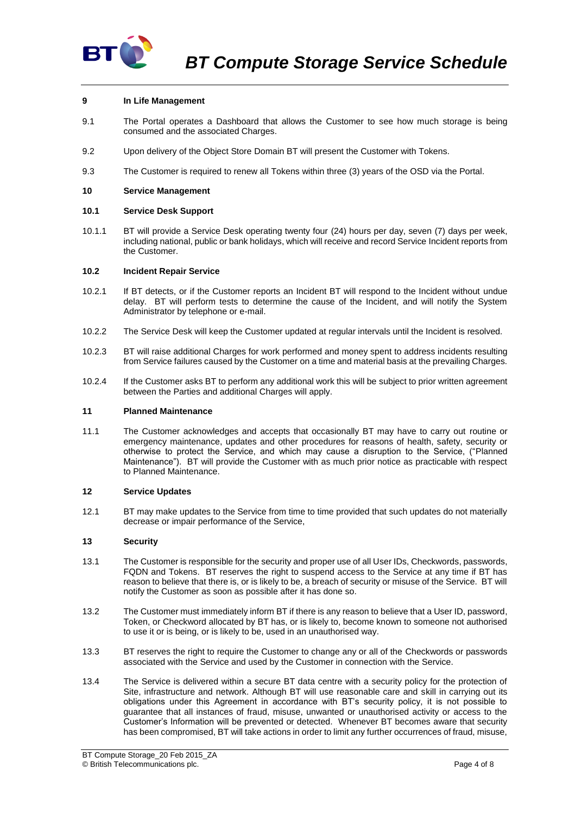

## **9 In Life Management**

- 9.1 The Portal operates a Dashboard that allows the Customer to see how much storage is being consumed and the associated Charges.
- 9.2 Upon delivery of the Object Store Domain BT will present the Customer with Tokens.
- 9.3 The Customer is required to renew all Tokens within three (3) years of the OSD via the Portal.

### **10 Service Management**

### **10.1 Service Desk Support**

10.1.1 BT will provide a Service Desk operating twenty four (24) hours per day, seven (7) days per week, including national, public or bank holidays, which will receive and record Service Incident reports from the Customer.

### <span id="page-3-0"></span>**10.2 Incident Repair Service**

- 10.2.1 If BT detects, or if the Customer reports an Incident BT will respond to the Incident without undue delay. BT will perform tests to determine the cause of the Incident, and will notify the System Administrator by telephone or e-mail.
- 10.2.2 The Service Desk will keep the Customer updated at regular intervals until the Incident is resolved.
- 10.2.3 BT will raise additional Charges for work performed and money spent to address incidents resulting from Service failures caused by the Customer on a time and material basis at the prevailing Charges.
- 10.2.4 If the Customer asks BT to perform any additional work this will be subject to prior written agreement between the Parties and additional Charges will apply.

### **11 Planned Maintenance**

11.1 The Customer acknowledges and accepts that occasionally BT may have to carry out routine or emergency maintenance, updates and other procedures for reasons of health, safety, security or otherwise to protect the Service, and which may cause a disruption to the Service, ("Planned Maintenance"). BT will provide the Customer with as much prior notice as practicable with respect to Planned Maintenance.

### **12 Service Updates**

12.1 BT may make updates to the Service from time to time provided that such updates do not materially decrease or impair performance of the Service,

### **13 Security**

- 13.1 The Customer is responsible for the security and proper use of all User IDs, Checkwords, passwords, FQDN and Tokens. BT reserves the right to suspend access to the Service at any time if BT has reason to believe that there is, or is likely to be, a breach of security or misuse of the Service. BT will notify the Customer as soon as possible after it has done so.
- 13.2 The Customer must immediately inform BT if there is any reason to believe that a User ID, password, Token, or Checkword allocated by BT has, or is likely to, become known to someone not authorised to use it or is being, or is likely to be, used in an unauthorised way.
- 13.3 BT reserves the right to require the Customer to change any or all of the Checkwords or passwords associated with the Service and used by the Customer in connection with the Service.
- 13.4 The Service is delivered within a secure BT data centre with a security policy for the protection of Site, infrastructure and network. Although BT will use reasonable care and skill in carrying out its obligations under this Agreement in accordance with BT's security policy, it is not possible to guarantee that all instances of fraud, misuse, unwanted or unauthorised activity or access to the Customer's Information will be prevented or detected. Whenever BT becomes aware that security has been compromised, BT will take actions in order to limit any further occurrences of fraud, misuse,

BT Compute Storage\_20 Feb 2015\_ZA © British Telecommunications plc. Page 4 of 8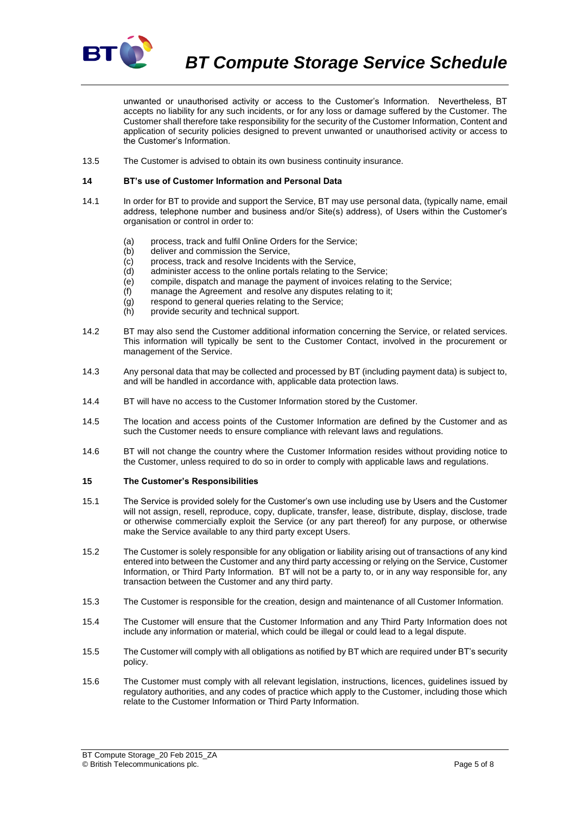

*BT Compute Storage Service Schedule*

unwanted or unauthorised activity or access to the Customer's Information. Nevertheless, BT accepts no liability for any such incidents, or for any loss or damage suffered by the Customer. The Customer shall therefore take responsibility for the security of the Customer Information, Content and application of security policies designed to prevent unwanted or unauthorised activity or access to the Customer's Information.

13.5 The Customer is advised to obtain its own business continuity insurance.

### **14 BT's use of Customer Information and Personal Data**

- 14.1 In order for BT to provide and support the Service, BT may use personal data, (typically name, email address, telephone number and business and/or Site(s) address), of Users within the Customer's organisation or control in order to:
	- (a) process, track and fulfil Online Orders for the Service:
	- (b) deliver and commission the Service,
	- (c) process, track and resolve Incidents with the Service,
	- (d) administer access to the online portals relating to the Service;
	- (e) compile, dispatch and manage the payment of invoices relating to the Service;
	- (f) manage the Agreement and resolve any disputes relating to it;
	- (g) respond to general queries relating to the Service;
	- (h) provide security and technical support.
- 14.2 BT may also send the Customer additional information concerning the Service, or related services. This information will typically be sent to the Customer Contact, involved in the procurement or management of the Service.
- 14.3 Any personal data that may be collected and processed by BT (including payment data) is subject to, and will be handled in accordance with, applicable data protection laws.
- 14.4 BT will have no access to the Customer Information stored by the Customer.
- 14.5 The location and access points of the Customer Information are defined by the Customer and as such the Customer needs to ensure compliance with relevant laws and regulations.
- 14.6 BT will not change the country where the Customer Information resides without providing notice to the Customer, unless required to do so in order to comply with applicable laws and regulations.

### <span id="page-4-0"></span>**15 The Customer's Responsibilities**

- 15.1 The Service is provided solely for the Customer's own use including use by Users and the Customer will not assign, resell, reproduce, copy, duplicate, transfer, lease, distribute, display, disclose, trade or otherwise commercially exploit the Service (or any part thereof) for any purpose, or otherwise make the Service available to any third party except Users.
- 15.2 The Customer is solely responsible for any obligation or liability arising out of transactions of any kind entered into between the Customer and any third party accessing or relying on the Service, Customer Information, or Third Party Information. BT will not be a party to, or in any way responsible for, any transaction between the Customer and any third party.
- 15.3 The Customer is responsible for the creation, design and maintenance of all Customer Information.
- 15.4 The Customer will ensure that the Customer Information and any Third Party Information does not include any information or material, which could be illegal or could lead to a legal dispute.
- 15.5 The Customer will comply with all obligations as notified by BT which are required under BT's security policy.
- 15.6 The Customer must comply with all relevant legislation, instructions, licences, guidelines issued by regulatory authorities, and any codes of practice which apply to the Customer, including those which relate to the Customer Information or Third Party Information.

BT Compute Storage\_20 Feb 2015\_ZA © British Telecommunications plc. Page 5 of 8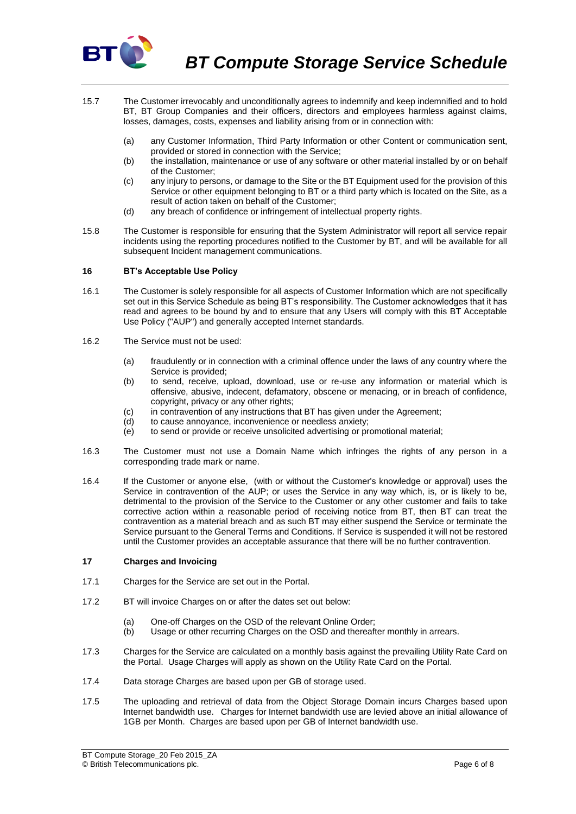

- 15.7 The Customer irrevocably and unconditionally agrees to indemnify and keep indemnified and to hold BT, BT Group Companies and their officers, directors and employees harmless against claims, losses, damages, costs, expenses and liability arising from or in connection with:
	- (a) any Customer Information, Third Party Information or other Content or communication sent, provided or stored in connection with the Service;
	- (b) the installation, maintenance or use of any software or other material installed by or on behalf of the Customer;
	- (c) any injury to persons, or damage to the Site or the BT Equipment used for the provision of this Service or other equipment belonging to BT or a third party which is located on the Site, as a result of action taken on behalf of the Customer;
	- (d) any breach of confidence or infringement of intellectual property rights.
- 15.8 The Customer is responsible for ensuring that the System Administrator will report all service repair incidents using the reporting procedures notified to the Customer by BT, and will be available for all subsequent Incident management communications.

## **16 BT's Acceptable Use Policy**

- 16.1 The Customer is solely responsible for all aspects of Customer Information which are not specifically set out in this Service Schedule as being BT's responsibility. The Customer acknowledges that it has read and agrees to be bound by and to ensure that any Users will comply with this BT Acceptable Use Policy ("AUP") and generally accepted Internet standards.
- 16.2 The Service must not be used:
	- (a) fraudulently or in connection with a criminal offence under the laws of any country where the Service is provided;
	- (b) to send, receive, upload, download, use or re-use any information or material which is offensive, abusive, indecent, defamatory, obscene or menacing, or in breach of confidence, copyright, privacy or any other rights;
	- (c) in contravention of any instructions that BT has given under the Agreement;
	- (d) to cause annoyance, inconvenience or needless anxiety;
	- $\overrightarrow{e}$  to send or provide or receive unsolicited advertising or promotional material;
- 16.3 The Customer must not use a Domain Name which infringes the rights of any person in a corresponding trade mark or name.
- 16.4 If the Customer or anyone else, (with or without the Customer's knowledge or approval) uses the Service in contravention of the AUP; or uses the Service in any way which, is, or is likely to be, detrimental to the provision of the Service to the Customer or any other customer and fails to take corrective action within a reasonable period of receiving notice from BT, then BT can treat the contravention as a material breach and as such BT may either suspend the Service or terminate the Service pursuant to the General Terms and Conditions. If Service is suspended it will not be restored until the Customer provides an acceptable assurance that there will be no further contravention.

### **17 Charges and Invoicing**

- 17.1 Charges for the Service are set out in the Portal.
- 17.2 BT will invoice Charges on or after the dates set out below:
	- (a) One-off Charges on the OSD of the relevant Online Order:
	- (b) Usage or other recurring Charges on the OSD and thereafter monthly in arrears.
- 17.3 Charges for the Service are calculated on a monthly basis against the prevailing Utility Rate Card on the Portal. Usage Charges will apply as shown on the Utility Rate Card on the Portal.
- 17.4 Data storage Charges are based upon per GB of storage used.
- 17.5 The uploading and retrieval of data from the Object Storage Domain incurs Charges based upon Internet bandwidth use. Charges for Internet bandwidth use are levied above an initial allowance of 1GB per Month. Charges are based upon per GB of Internet bandwidth use.

BT Compute Storage\_20 Feb 2015\_ZA © British Telecommunications plc. Page 6 of 8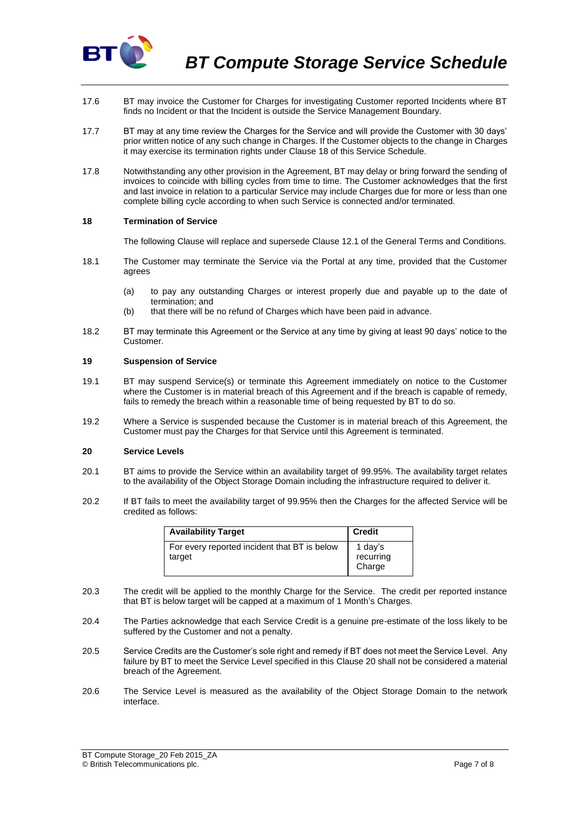

- 17.6 BT may invoice the Customer for Charges for investigating Customer reported Incidents where BT finds no Incident or that the Incident is outside the Service Management Boundary.
- 17.7 BT may at any time review the Charges for the Service and will provide the Customer with 30 days' prior written notice of any such change in Charges. If the Customer objects to the change in Charges it may exercise its termination rights under Clause 18 of this Service Schedule.
- 17.8 Notwithstanding any other provision in the Agreement, BT may delay or bring forward the sending of invoices to coincide with billing cycles from time to time. The Customer acknowledges that the first and last invoice in relation to a particular Service may include Charges due for more or less than one complete billing cycle according to when such Service is connected and/or terminated.

### **18 Termination of Service**

The following Clause will replace and supersede Clause 12.1 of the General Terms and Conditions.

- 18.1 The Customer may terminate the Service via the Portal at any time, provided that the Customer agrees
	- (a) to pay any outstanding Charges or interest properly due and payable up to the date of termination; and
	- (b) that there will be no refund of Charges which have been paid in advance.
- 18.2 BT may terminate this Agreement or the Service at any time by giving at least 90 days' notice to the Customer.

#### **19 Suspension of Service**

- 19.1 BT may suspend Service(s) or terminate this Agreement immediately on notice to the Customer where the Customer is in material breach of this Agreement and if the breach is capable of remedy, fails to remedy the breach within a reasonable time of being requested by BT to do so.
- 19.2 Where a Service is suspended because the Customer is in material breach of this Agreement, the Customer must pay the Charges for that Service until this Agreement is terminated.

## <span id="page-6-0"></span>**20 Service Levels**

- 20.1 BT aims to provide the Service within an availability target of 99.95%. The availability target relates to the availability of the Object Storage Domain including the infrastructure required to deliver it.
- 20.2 If BT fails to meet the availability target of 99.95% then the Charges for the affected Service will be credited as follows:

| <b>Availability Target</b>                             | <b>Credit</b>                  |
|--------------------------------------------------------|--------------------------------|
| For every reported incident that BT is below<br>target | 1 day's<br>recurring<br>Charge |

- 20.3 The credit will be applied to the monthly Charge for the Service. The credit per reported instance that BT is below target will be capped at a maximum of 1 Month's Charges.
- 20.4 The Parties acknowledge that each Service Credit is a genuine pre-estimate of the loss likely to be suffered by the Customer and not a penalty.
- 20.5 Service Credits are the Customer's sole right and remedy if BT does not meet the Service Level. Any failure by BT to meet the Service Level specified in this Clause [20](#page-6-0) shall not be considered a material breach of the Agreement.
- 20.6 The Service Level is measured as the availability of the Object Storage Domain to the network interface.

BT Compute Storage\_20 Feb 2015\_ZA © British Telecommunications plc. Page 7 of 8